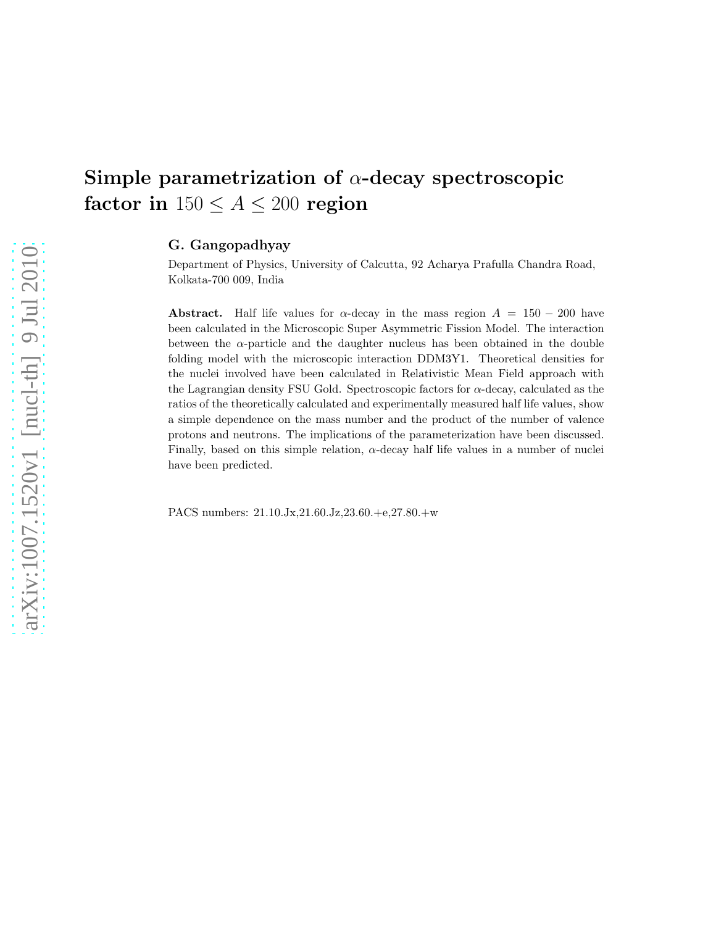# Simple parametrization of  $\alpha$ -decay spectroscopic factor in  $150 \le A \le 200$  region

## G. Gangopadhyay

Department of Physics, University of Calcutta, 92 Acharya Prafulla Chandra Road, Kolkata-700 009, India

**Abstract.** Half life values for  $\alpha$ -decay in the mass region  $A = 150 - 200$  have been calculated in the Microscopic Super Asymmetric Fission Model. The interaction between the  $\alpha$ -particle and the daughter nucleus has been obtained in the double folding model with the microscopic interaction DDM3Y1. Theoretical densities for the nuclei involved have been calculated in Relativistic Mean Field approach with the Lagrangian density FSU Gold. Spectroscopic factors for α-decay, calculated as the ratios of the theoretically calculated and experimentally measured half life values, show a simple dependence on the mass number and the product of the number of valence protons and neutrons. The implications of the parameterization have been discussed. Finally, based on this simple relation, α-decay half life values in a number of nuclei have been predicted.

PACS numbers: 21.10.Jx,21.60.Jz,23.60.+e,27.80.+w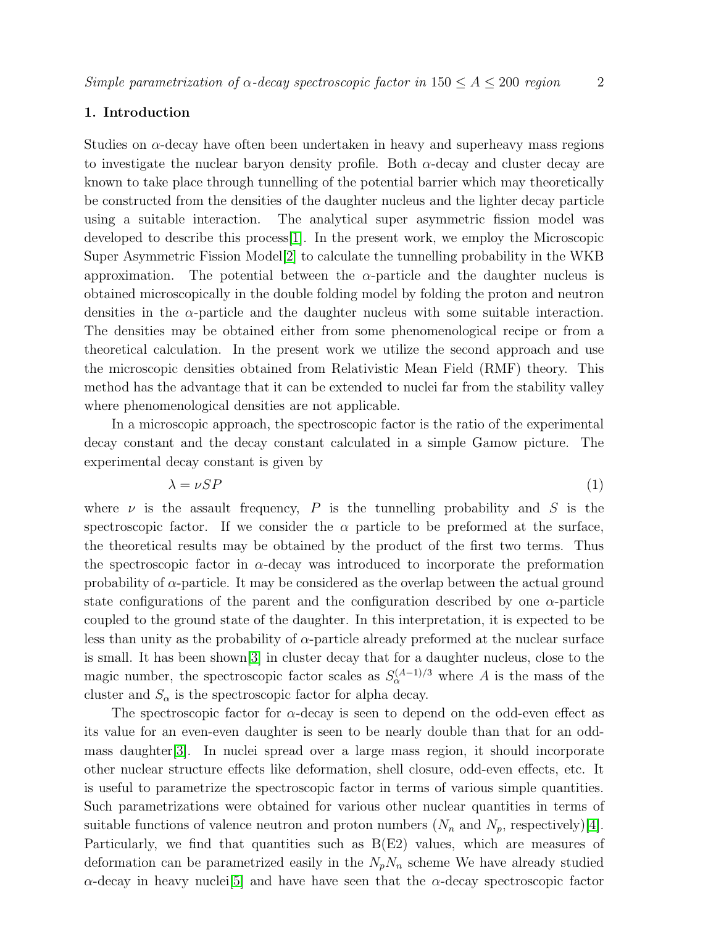## 1. Introduction

Studies on  $\alpha$ -decay have often been undertaken in heavy and superheavy mass regions to investigate the nuclear baryon density profile. Both  $\alpha$ -decay and cluster decay are known to take place through tunnelling of the potential barrier which may theoretically be constructed from the densities of the daughter nucleus and the lighter decay particle using a suitable interaction. The analytical super asymmetric fission model was developed to describe this process[\[1\]](#page-8-0). In the present work, we employ the Microscopic Super Asymmetric Fission Model[\[2\]](#page-8-1) to calculate the tunnelling probability in the WKB approximation. The potential between the  $\alpha$ -particle and the daughter nucleus is obtained microscopically in the double folding model by folding the proton and neutron densities in the  $\alpha$ -particle and the daughter nucleus with some suitable interaction. The densities may be obtained either from some phenomenological recipe or from a theoretical calculation. In the present work we utilize the second approach and use the microscopic densities obtained from Relativistic Mean Field (RMF) theory. This method has the advantage that it can be extended to nuclei far from the stability valley where phenomenological densities are not applicable.

In a microscopic approach, the spectroscopic factor is the ratio of the experimental decay constant and the decay constant calculated in a simple Gamow picture. The experimental decay constant is given by

$$
\lambda = \nu SP \tag{1}
$$

where  $\nu$  is the assault frequency, P is the tunnelling probability and S is the spectroscopic factor. If we consider the  $\alpha$  particle to be preformed at the surface, the theoretical results may be obtained by the product of the first two terms. Thus the spectroscopic factor in  $\alpha$ -decay was introduced to incorporate the preformation probability of  $\alpha$ -particle. It may be considered as the overlap between the actual ground state configurations of the parent and the configuration described by one  $\alpha$ -particle coupled to the ground state of the daughter. In this interpretation, it is expected to be less than unity as the probability of  $\alpha$ -particle already preformed at the nuclear surface is small. It has been shown[\[3\]](#page-8-2) in cluster decay that for a daughter nucleus, close to the magic number, the spectroscopic factor scales as  $S_{\alpha}^{(A-1)/3}$  where A is the mass of the cluster and  $S_{\alpha}$  is the spectroscopic factor for alpha decay.

The spectroscopic factor for  $\alpha$ -decay is seen to depend on the odd-even effect as its value for an even-even daughter is seen to be nearly double than that for an oddmass daughter[\[3\]](#page-8-2). In nuclei spread over a large mass region, it should incorporate other nuclear structure effects like deformation, shell closure, odd-even effects, etc. It is useful to parametrize the spectroscopic factor in terms of various simple quantities. Such parametrizations were obtained for various other nuclear quantities in terms of suitable functions of valence neutron and proton numbers  $(N_n$  and  $N_p$ , respectively)[\[4\]](#page-8-3). Particularly, we find that quantities such as B(E2) values, which are measures of deformation can be parametrized easily in the  $N_pN_n$  scheme We have already studied  $\alpha$ -decay in heavy nuclei<sup>[\[5\]](#page-8-4)</sup> and have have seen that the  $\alpha$ -decay spectroscopic factor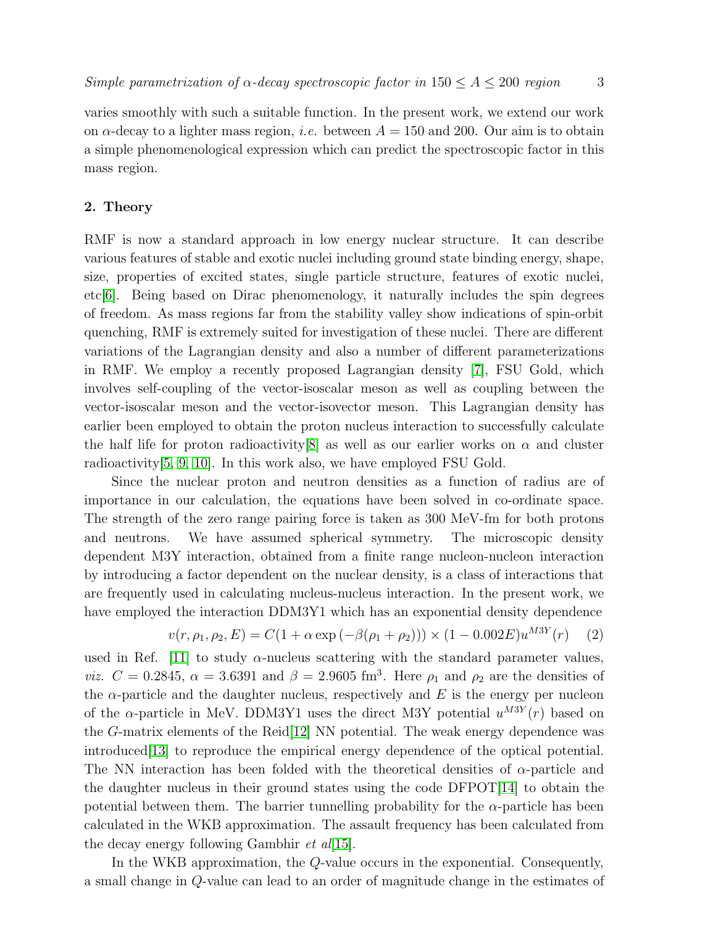varies smoothly with such a suitable function. In the present work, we extend our work on  $\alpha$ -decay to a lighter mass region, *i.e.* between  $A = 150$  and 200. Our aim is to obtain a simple phenomenological expression which can predict the spectroscopic factor in this mass region.

## 2. Theory

RMF is now a standard approach in low energy nuclear structure. It can describe various features of stable and exotic nuclei including ground state binding energy, shape, size, properties of excited states, single particle structure, features of exotic nuclei, etc[\[6\]](#page-8-5). Being based on Dirac phenomenology, it naturally includes the spin degrees of freedom. As mass regions far from the stability valley show indications of spin-orbit quenching, RMF is extremely suited for investigation of these nuclei. There are different variations of the Lagrangian density and also a number of different parameterizations in RMF. We employ a recently proposed Lagrangian density [\[7\]](#page-8-6), FSU Gold, which involves self-coupling of the vector-isoscalar meson as well as coupling between the vector-isoscalar meson and the vector-isovector meson. This Lagrangian density has earlier been employed to obtain the proton nucleus interaction to successfully calculate the half life for proton radioactivity[\[8\]](#page-8-7) as well as our earlier works on  $\alpha$  and cluster radioactivity[\[5,](#page-8-4) [9,](#page-8-8) [10\]](#page-8-9). In this work also, we have employed FSU Gold.

Since the nuclear proton and neutron densities as a function of radius are of importance in our calculation, the equations have been solved in co-ordinate space. The strength of the zero range pairing force is taken as 300 MeV-fm for both protons and neutrons. We have assumed spherical symmetry. The microscopic density dependent M3Y interaction, obtained from a finite range nucleon-nucleon interaction by introducing a factor dependent on the nuclear density, is a class of interactions that are frequently used in calculating nucleus-nucleus interaction. In the present work, we have employed the interaction DDM3Y1 which has an exponential density dependence

$$
v(r, \rho_1, \rho_2, E) = C(1 + \alpha \exp(-\beta(\rho_1 + \rho_2))) \times (1 - 0.002E)u^{M3Y}(r)
$$
 (2)

used in Ref. [\[11\]](#page-8-10) to study  $\alpha$ -nucleus scattering with the standard parameter values, *viz.*  $C = 0.2845$ ,  $\alpha = 3.6391$  and  $\beta = 2.9605$  fm<sup>3</sup>. Here  $\rho_1$  and  $\rho_2$  are the densities of the  $\alpha$ -particle and the daughter nucleus, respectively and E is the energy per nucleon of the  $\alpha$ -particle in MeV. DDM3Y1 uses the direct M3Y potential  $u^{M3Y}(r)$  based on the G-matrix elements of the Reid[\[12\]](#page-8-11) NN potential. The weak energy dependence was introduced[\[13\]](#page-8-12) to reproduce the empirical energy dependence of the optical potential. The NN interaction has been folded with the theoretical densities of  $\alpha$ -particle and the daughter nucleus in their ground states using the code DFPOT[\[14\]](#page-8-13) to obtain the potential between them. The barrier tunnelling probability for the  $\alpha$ -particle has been calculated in the WKB approximation. The assault frequency has been calculated from the decay energy following Gambhir  $et al[15]$  $et al[15]$ .

In the WKB approximation, the Q-value occurs in the exponential. Consequently, a small change in Q-value can lead to an order of magnitude change in the estimates of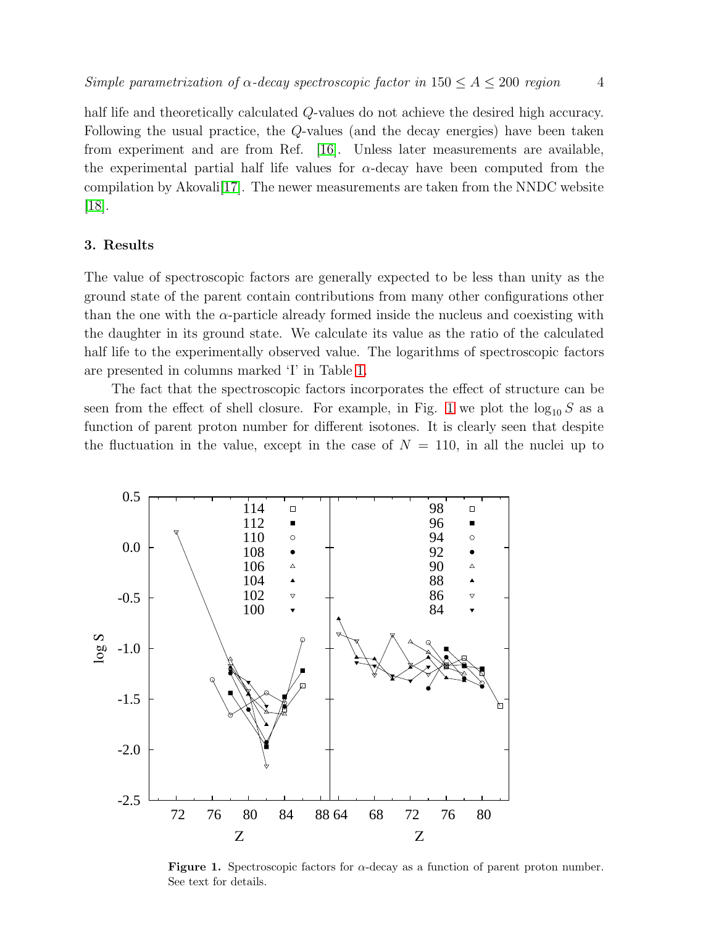half life and theoretically calculated Q-values do not achieve the desired high accuracy. Following the usual practice, the Q-values (and the decay energies) have been taken from experiment and are from Ref. [\[16\]](#page-8-15). Unless later measurements are available, the experimental partial half life values for  $\alpha$ -decay have been computed from the compilation by Akovali[\[17\]](#page-8-16). The newer measurements are taken from the NNDC website [\[18\]](#page-9-0).

## 3. Results

The value of spectroscopic factors are generally expected to be less than unity as the ground state of the parent contain contributions from many other configurations other than the one with the  $\alpha$ -particle already formed inside the nucleus and coexisting with the daughter in its ground state. We calculate its value as the ratio of the calculated half life to the experimentally observed value. The logarithms of spectroscopic factors are presented in columns marked 'I' in Table [1.](#page-4-0)

The fact that the spectroscopic factors incorporates the effect of structure can be seen from the effect of shell closure. For example, in Fig. [1](#page-3-0) we plot the  $\log_{10} S$  as a function of parent proton number for different isotones. It is clearly seen that despite the fluctuation in the value, except in the case of  $N = 110$ , in all the nuclei up to



<span id="page-3-0"></span>**Figure 1.** Spectroscopic factors for  $\alpha$ -decay as a function of parent proton number. See text for details.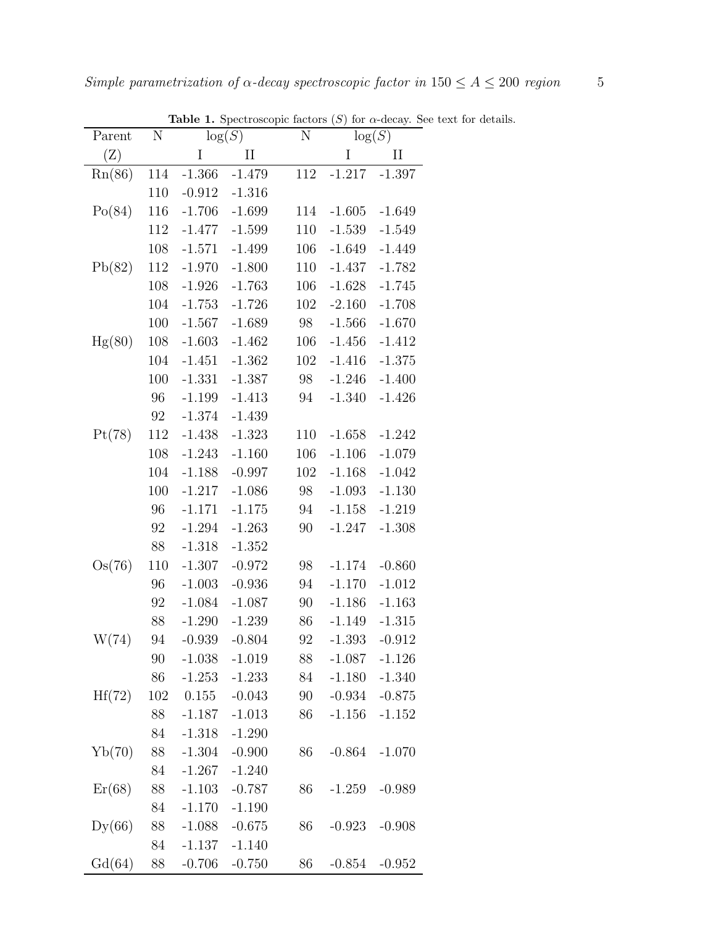| Parent | N      |          | $\log(S)$ | N       |          | $\log(S)$ |
|--------|--------|----------|-----------|---------|----------|-----------|
| (Z)    |        | $\rm I$  | $\rm II$  |         | $\rm I$  | $\rm II$  |
| Rn(86) | 114    | $-1.366$ | $-1.479$  | $112\,$ | $-1.217$ | $-1.397$  |
|        | 110    | $-0.912$ | $-1.316$  |         |          |           |
| Po(84) | 116    | $-1.706$ | $-1.699$  | 114     | $-1.605$ | $-1.649$  |
|        | 112    | $-1.477$ | $-1.599$  | 110     | $-1.539$ | $-1.549$  |
|        | 108    | $-1.571$ | $-1.499$  | 106     | $-1.649$ | $-1.449$  |
| Pb(82) | 112    | $-1.970$ | $-1.800$  | 110     | $-1.437$ | $-1.782$  |
|        | 108    | $-1.926$ | $-1.763$  | 106     | $-1.628$ | $-1.745$  |
|        | 104    | $-1.753$ | $-1.726$  | 102     | $-2.160$ | $-1.708$  |
|        | 100    | $-1.567$ | $-1.689$  | 98      | $-1.566$ | $-1.670$  |
| Hg(80) | 108    | $-1.603$ | $-1.462$  | 106     | $-1.456$ | $-1.412$  |
|        | 104    | $-1.451$ | $-1.362$  | 102     | $-1.416$ | $-1.375$  |
|        | 100    | $-1.331$ | $-1.387$  | 98      | $-1.246$ | $-1.400$  |
|        | 96     | $-1.199$ | $-1.413$  | 94      | $-1.340$ | $-1.426$  |
|        | 92     | $-1.374$ | $-1.439$  |         |          |           |
| Pt(78) | 112    | $-1.438$ | $-1.323$  | 110     | $-1.658$ | $-1.242$  |
|        | 108    | $-1.243$ | $-1.160$  | 106     | $-1.106$ | $-1.079$  |
|        | 104    | $-1.188$ | $-0.997$  | 102     | $-1.168$ | $-1.042$  |
|        | 100    | $-1.217$ | $-1.086$  | $98\,$  | $-1.093$ | $-1.130$  |
|        | 96     | $-1.171$ | $-1.175$  | 94      | $-1.158$ | $-1.219$  |
|        | 92     | $-1.294$ | $-1.263$  | 90      | $-1.247$ | $-1.308$  |
|        | 88     | $-1.318$ | $-1.352$  |         |          |           |
| Os(76) | 110    | $-1.307$ | $-0.972$  | 98      | $-1.174$ | $-0.860$  |
|        | 96     | $-1.003$ | $-0.936$  | 94      | $-1.170$ | $-1.012$  |
|        | 92     | $-1.084$ | $-1.087$  | 90      | $-1.186$ | $-1.163$  |
|        | 88     | $-1.290$ | $-1.239$  | 86      | $-1.149$ | $-1.315$  |
| W(74)  | $94\,$ | $-0.939$ | $-0.804$  | 92      | $-1.393$ | $-0.912$  |
|        | 90     | $-1.038$ | $-1.019$  | 88      | $-1.087$ | $-1.126$  |
|        | $86\,$ | $-1.253$ | $-1.233$  | 84      | $-1.180$ | $-1.340$  |
| Hf(72) | 102    | 0.155    | $-0.043$  | 90      | $-0.934$ | $-0.875$  |
|        | 88     | $-1.187$ | $-1.013$  | 86      | $-1.156$ | $-1.152$  |
|        | 84     | $-1.318$ | $-1.290$  |         |          |           |
| Yb(70) | 88     | $-1.304$ | $-0.900$  | 86      | $-0.864$ | $-1.070$  |
|        | 84     | $-1.267$ | $-1.240$  |         |          |           |
| Er(68) | 88     | $-1.103$ | $-0.787$  | 86      | $-1.259$ | $-0.989$  |
|        | 84     | $-1.170$ | $-1.190$  |         |          |           |
| Dy(66) | 88     | $-1.088$ | $-0.675$  | 86      | $-0.923$ | $-0.908$  |
|        | 84     | $-1.137$ | $-1.140$  |         |          |           |
| Gd(64) | 88     | $-0.706$ | $-0.750$  | 86      | $-0.854$ | $-0.952$  |

<span id="page-4-0"></span>Table 1. Spectroscopic factors  $(S)$  for  $\alpha$ -decay. See text for details.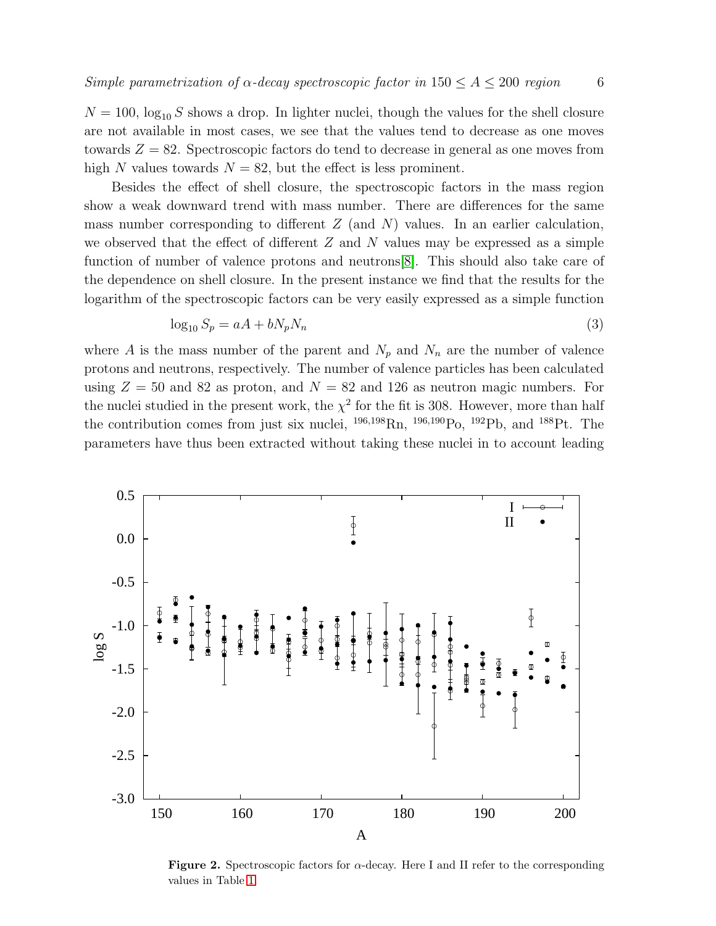$N = 100$ ,  $\log_{10} S$  shows a drop. In lighter nuclei, though the values for the shell closure are not available in most cases, we see that the values tend to decrease as one moves towards  $Z = 82$ . Spectroscopic factors do tend to decrease in general as one moves from high N values towards  $N = 82$ , but the effect is less prominent.

Besides the effect of shell closure, the spectroscopic factors in the mass region show a weak downward trend with mass number. There are differences for the same mass number corresponding to different  $Z$  (and  $N$ ) values. In an earlier calculation, we observed that the effect of different  $Z$  and  $N$  values may be expressed as a simple function of number of valence protons and neutrons[\[8\]](#page-8-7). This should also take care of the dependence on shell closure. In the present instance we find that the results for the logarithm of the spectroscopic factors can be very easily expressed as a simple function

$$
\log_{10} S_p = aA + bN_p N_n \tag{3}
$$

where A is the mass number of the parent and  $N_p$  and  $N_n$  are the number of valence protons and neutrons, respectively. The number of valence particles has been calculated using  $Z = 50$  and 82 as proton, and  $N = 82$  and 126 as neutron magic numbers. For the nuclei studied in the present work, the  $\chi^2$  for the fit is 308. However, more than half the contribution comes from just six nuclei,  $^{196,198}$ Rn,  $^{196,190}$ Po,  $^{192}$ Pb, and  $^{188}$ Pt. The parameters have thus been extracted without taking these nuclei in to account leading



<span id="page-5-0"></span>Figure 2. Spectroscopic factors for  $\alpha$ -decay. Here I and II refer to the corresponding values in Table [1.](#page-4-0)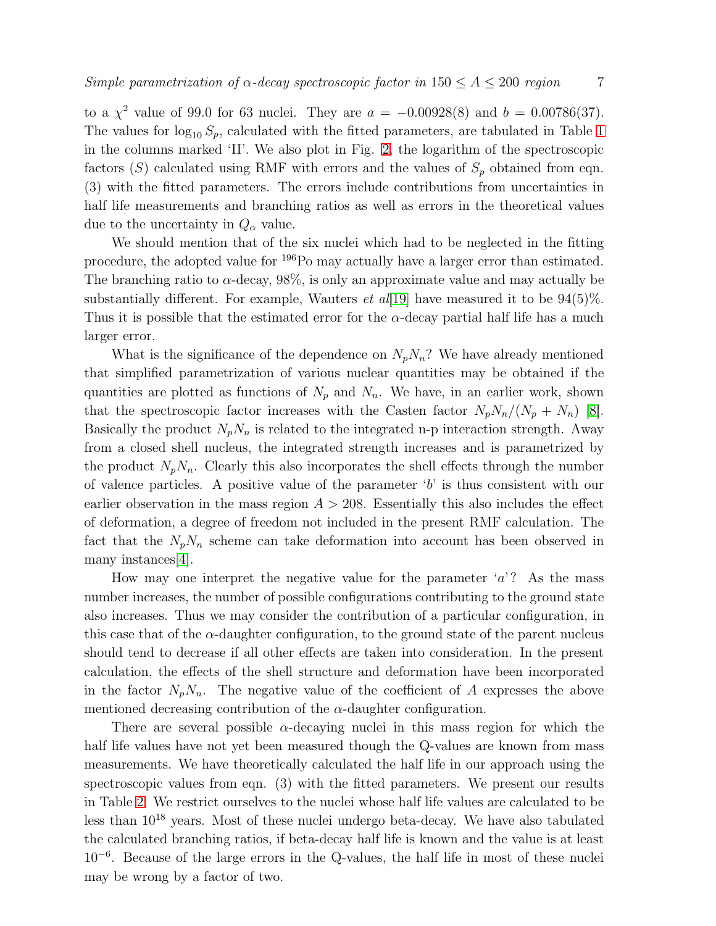to a  $\chi^2$  value of 99.0 for 63 nuclei. They are  $a = -0.00928(8)$  and  $b = 0.00786(37)$ . The values for  $\log_{10} S_p$ , calculated with the fitted parameters, are tabulated in Table [1](#page-4-0) in the columns marked 'II'. We also plot in Fig. [2,](#page-5-0) the logarithm of the spectroscopic factors (S) calculated using RMF with errors and the values of  $S_p$  obtained from eqn. (3) with the fitted parameters. The errors include contributions from uncertainties in half life measurements and branching ratios as well as errors in the theoretical values due to the uncertainty in  $Q_{\alpha}$  value.

We should mention that of the six nuclei which had to be neglected in the fitting procedure, the adopted value for <sup>196</sup>Po may actually have a larger error than estimated. The branching ratio to  $\alpha$ -decay, 98%, is only an approximate value and may actually be substantially different. For example, Wauters *et al*[\[19\]](#page-9-1) have measured it to be  $94(5)\%$ . Thus it is possible that the estimated error for the  $\alpha$ -decay partial half life has a much larger error.

What is the significance of the dependence on  $N_pN_n$ ? We have already mentioned that simplified parametrization of various nuclear quantities may be obtained if the quantities are plotted as functions of  $N_p$  and  $N_n$ . We have, in an earlier work, shown that the spectroscopic factor increases with the Casten factor  $N_pN_n/(N_p + N_n)$  [\[8\]](#page-8-7). Basically the product  $N_pN_n$  is related to the integrated n-p interaction strength. Away from a closed shell nucleus, the integrated strength increases and is parametrized by the product  $N_pN_n$ . Clearly this also incorporates the shell effects through the number of valence particles. A positive value of the parameter  $b'$  is thus consistent with our earlier observation in the mass region  $A > 208$ . Essentially this also includes the effect of deformation, a degree of freedom not included in the present RMF calculation. The fact that the  $N_pN_n$  scheme can take deformation into account has been observed in many instances[\[4\]](#page-8-3).

How may one interpret the negative value for the parameter  $a$ ? As the mass number increases, the number of possible configurations contributing to the ground state also increases. Thus we may consider the contribution of a particular configuration, in this case that of the  $\alpha$ -daughter configuration, to the ground state of the parent nucleus should tend to decrease if all other effects are taken into consideration. In the present calculation, the effects of the shell structure and deformation have been incorporated in the factor  $N_pN_n$ . The negative value of the coefficient of A expresses the above mentioned decreasing contribution of the  $\alpha$ -daughter configuration.

There are several possible  $\alpha$ -decaying nuclei in this mass region for which the half life values have not yet been measured though the Q-values are known from mass measurements. We have theoretically calculated the half life in our approach using the spectroscopic values from eqn. (3) with the fitted parameters. We present our results in Table [2.](#page-7-0) We restrict ourselves to the nuclei whose half life values are calculated to be less than 10<sup>18</sup> years. Most of these nuclei undergo beta-decay. We have also tabulated the calculated branching ratios, if beta-decay half life is known and the value is at least 10<sup>−</sup><sup>6</sup> . Because of the large errors in the Q-values, the half life in most of these nuclei may be wrong by a factor of two.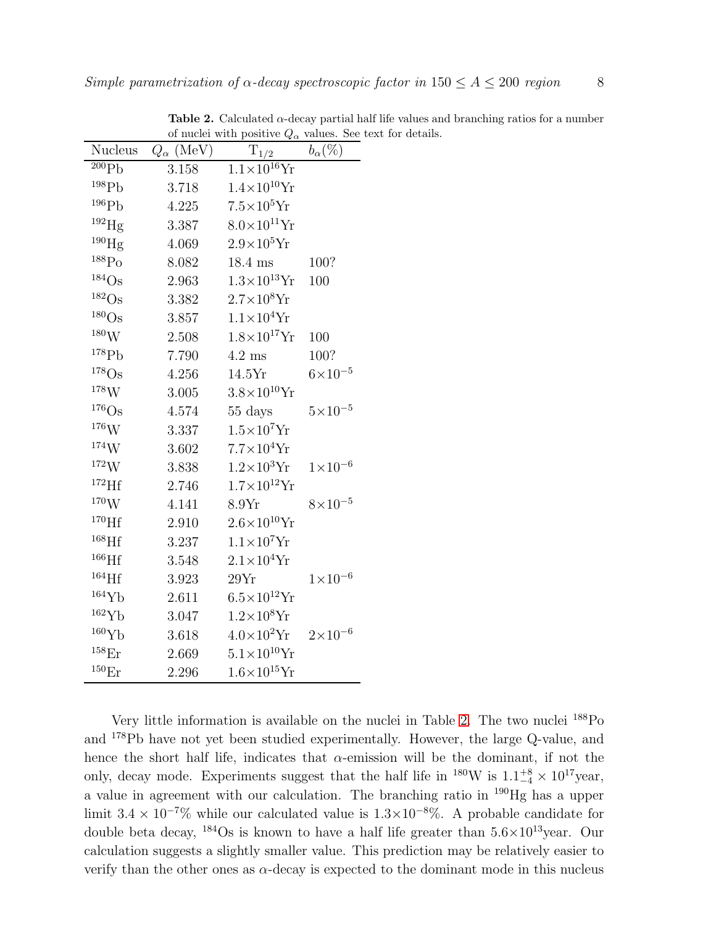| Nucleus              | $Q_{\alpha}$ (MeV) | $\cdots$ $\alpha$<br>$T_{1/2}$ | $b_{\alpha}(\%)$   |
|----------------------|--------------------|--------------------------------|--------------------|
| 200Pb                | 3.158              | $1.1\times10^{16}$ Yr          |                    |
| $^{198}Pb$           | 3.718              | $1.4\times10^{10}$ Yr          |                    |
| 196Pb                | 4.225              | $7.5\times10^5$ Yr             |                    |
| $^{192}\mathrm{Hg}$  | 3.387              | $8.0\times10^{11}$ Yr          |                    |
| $^{190}$ Hg          | 4.069              | $2.9\times10^5$ Yr             |                    |
| $^{188}\mathrm{Po}$  | 8.082              | 18.4 ms                        | 100?               |
| $184$ Os             | 2.963              | $1.3 \times 10^{13}$ Yr        | 100                |
| $^{182}Os$           | 3.382              | $2.7\times10^8$ Yr             |                    |
| $180$ Os             | 3.857              | $1.1\times10^4$ Yr             |                    |
| $^{180}\rm{W}$       | 2.508              | $1.8\times10^{17}$ Yr          | 100                |
| 178Pb                | 7.790              | $4.2 \text{ ms}$               | 100?               |
| $178$ Os             | 4.256              | 14.5Yr                         | $6 \times 10^{-5}$ |
| 178W                 | 3.005              | $3.8\times10^{10}$ Yr          |                    |
| $176$ Os             | 4.574              | 55 days                        | $5\times10^{-5}$   |
| $^{176}\mathrm{W}$   | 3.337              | $1.5\times10^7$ Yr             |                    |
| ${}^{174}\mathrm{W}$ | 3.602              | $7.7\times10^4$ Yr             |                    |
| $^{172}{\rm W}$      | 3.838              | $1.2\times10^3$ Yr             | $1 \times 10^{-6}$ |
| $172$ Hf             | 2.746              | $1.7\times10^{12}$ Yr          |                    |
| 170W                 | 4.141              | 8.9Yr                          | $8\times10^{-5}$   |
| $^{170}$ Hf          | 2.910              | $2.6\times10^{10}$ Yr          |                    |
| $^{168}$ Hf          | 3.237              | $1.1\times10^7$ Yr             |                    |
| $^{166}\mathrm{Hf}$  | 3.548              | $2.1\times10^4$ Yr             |                    |
| $^{164}\mathrm{Hf}$  | 3.923              | 29Yr                           | $1 \times 10^{-6}$ |
| 164Yb                | 2.611              | $6.5\times10^{12}$ Yr          |                    |
| 162Yb                | 3.047              | $1.2\times10^8$ Yr             |                    |
| 160Yb                | 3.618              | $4.0\times10^{2}$ Yr           | $2 \times 10^{-6}$ |
| $^{158}\mathrm{Er}$  | 2.669              | $5.1 \times 10^{10}$ Yr        |                    |
| $^{150}\mathrm{Er}$  | 2.296              | $1.6\times10^{15}$ Yr          |                    |

<span id="page-7-0"></span>Table 2. Calculated  $\alpha$ -decay partial half life values and branching ratios for a number of nuclei with positive  $Q_{\alpha}$  values. See text for details.

Very little information is available on the nuclei in Table [2.](#page-7-0) The two nuclei <sup>188</sup>Po and <sup>178</sup>Pb have not yet been studied experimentally. However, the large Q-value, and hence the short half life, indicates that  $\alpha$ -emission will be the dominant, if not the only, decay mode. Experiments suggest that the half life in <sup>180</sup>W is  $1.1^{+8}_{-4} \times 10^{17}$ year, a value in agreement with our calculation. The branching ratio in <sup>190</sup>Hg has a upper limit  $3.4 \times 10^{-7}$ % while our calculated value is  $1.3 \times 10^{-8}$ %. A probable candidate for double beta decay,  $^{184}$ Os is known to have a half life greater than  $5.6 \times 10^{13}$ year. Our calculation suggests a slightly smaller value. This prediction may be relatively easier to verify than the other ones as  $\alpha$ -decay is expected to the dominant mode in this nucleus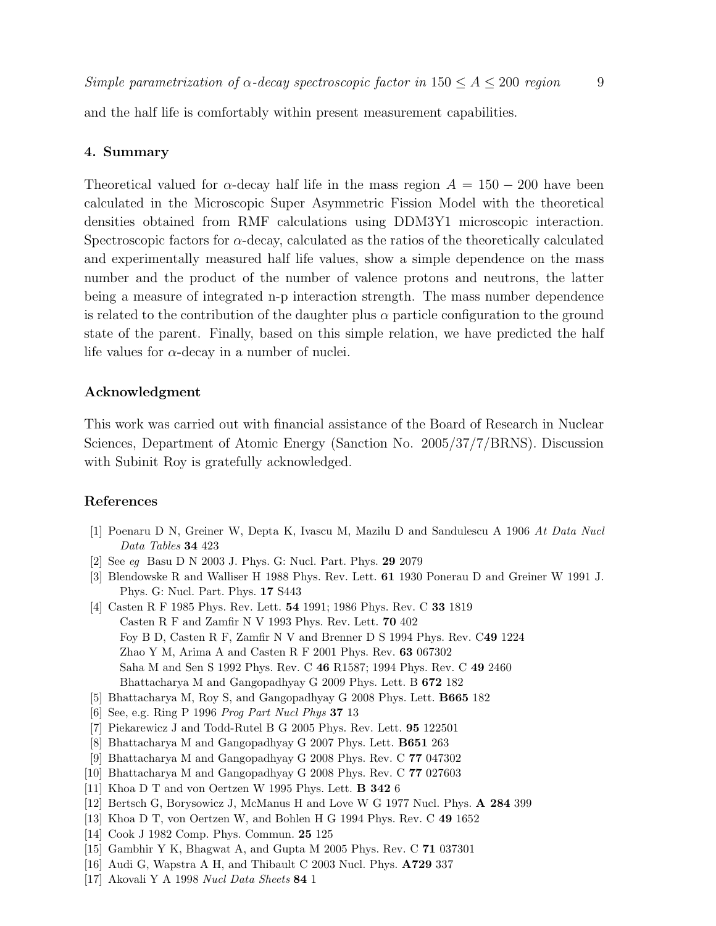and the half life is comfortably within present measurement capabilities.

## 4. Summary

Theoretical valued for  $\alpha$ -decay half life in the mass region  $A = 150 - 200$  have been calculated in the Microscopic Super Asymmetric Fission Model with the theoretical densities obtained from RMF calculations using DDM3Y1 microscopic interaction. Spectroscopic factors for  $\alpha$ -decay, calculated as the ratios of the theoretically calculated and experimentally measured half life values, show a simple dependence on the mass number and the product of the number of valence protons and neutrons, the latter being a measure of integrated n-p interaction strength. The mass number dependence is related to the contribution of the daughter plus  $\alpha$  particle configuration to the ground state of the parent. Finally, based on this simple relation, we have predicted the half life values for  $\alpha$ -decay in a number of nuclei.

#### Acknowledgment

This work was carried out with financial assistance of the Board of Research in Nuclear Sciences, Department of Atomic Energy (Sanction No. 2005/37/7/BRNS). Discussion with Subinit Roy is gratefully acknowledged.

## <span id="page-8-0"></span>References

- <span id="page-8-1"></span>[1] Poenaru D N, Greiner W, Depta K, Ivascu M, Mazilu D and Sandulescu A 1906 At Data Nucl Data Tables 34 423
- <span id="page-8-2"></span>[2] See eg Basu D N 2003 J. Phys. G: Nucl. Part. Phys. 29 2079
- [3] Blendowske R and Walliser H 1988 Phys. Rev. Lett. 61 1930 Ponerau D and Greiner W 1991 J. Phys. G: Nucl. Part. Phys. 17 S443
- <span id="page-8-3"></span>[4] Casten R F 1985 Phys. Rev. Lett. 54 1991; 1986 Phys. Rev. C 33 1819 Casten R F and Zamfir N V 1993 Phys. Rev. Lett. 70 402 Foy B D, Casten R F, Zamfir N V and Brenner D S 1994 Phys. Rev. C49 1224 Zhao Y M, Arima A and Casten R F 2001 Phys. Rev. 63 067302 Saha M and Sen S 1992 Phys. Rev. C 46 R1587; 1994 Phys. Rev. C 49 2460 Bhattacharya M and Gangopadhyay G 2009 Phys. Lett. B 672 182
- <span id="page-8-5"></span><span id="page-8-4"></span>[5] Bhattacharya M, Roy S, and Gangopadhyay G 2008 Phys. Lett. B665 182
- <span id="page-8-6"></span>[6] See, e.g. Ring P 1996 Prog Part Nucl Phys 37 13
- <span id="page-8-7"></span>[7] Piekarewicz J and Todd-Rutel B G 2005 Phys. Rev. Lett. 95 122501
- <span id="page-8-8"></span>[8] Bhattacharya M and Gangopadhyay G 2007 Phys. Lett. B651 263
- <span id="page-8-9"></span>[9] Bhattacharya M and Gangopadhyay G 2008 Phys. Rev. C 77 047302
- <span id="page-8-10"></span>[10] Bhattacharya M and Gangopadhyay G 2008 Phys. Rev. C 77 027603
- <span id="page-8-11"></span>[11] Khoa D T and von Oertzen W 1995 Phys. Lett. B 342 6
- <span id="page-8-12"></span>[12] Bertsch G, Borysowicz J, McManus H and Love W G 1977 Nucl. Phys. A 284 399
- <span id="page-8-13"></span>[13] Khoa D T, von Oertzen W, and Bohlen H G 1994 Phys. Rev. C 49 1652
- <span id="page-8-14"></span>[14] Cook J 1982 Comp. Phys. Commun. 25 125
- <span id="page-8-15"></span>[15] Gambhir Y K, Bhagwat A, and Gupta M 2005 Phys. Rev. C 71 037301
- <span id="page-8-16"></span>[16] Audi G, Wapstra A H, and Thibault C 2003 Nucl. Phys. A729 337
- [17] Akovali Y A 1998 Nucl Data Sheets 84 1